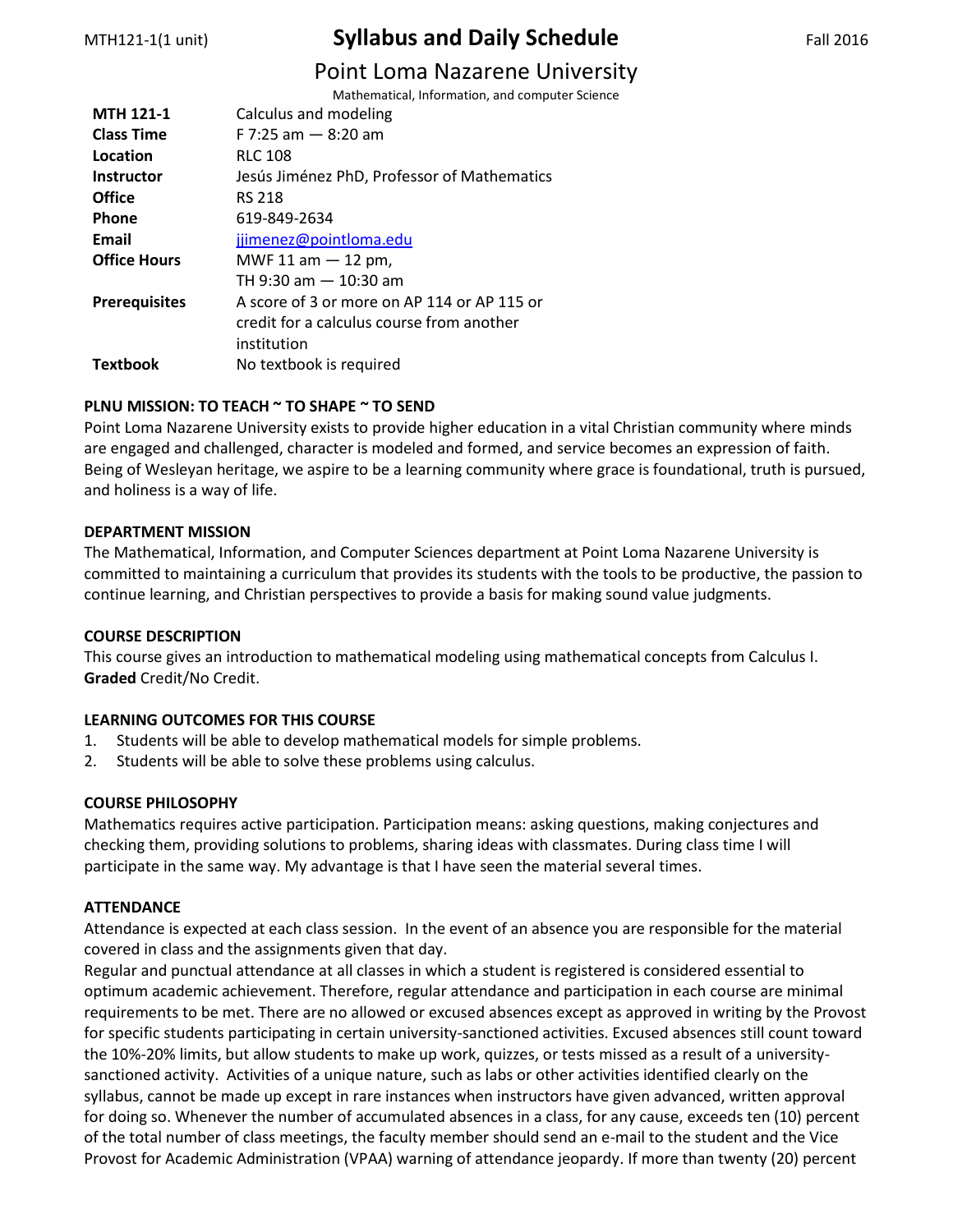# MTH121-1(1 unit) **Syllabus and Daily Schedule** Fall 2016

# Point Loma Nazarene University

|                      | I UIIIL LUIIIU I VULUI LIIL UIIIVLIJI           |
|----------------------|-------------------------------------------------|
|                      | Mathematical, Information, and computer Science |
| <b>MTH 121-1</b>     | Calculus and modeling                           |
| <b>Class Time</b>    | $F$ 7:25 am $-$ 8:20 am                         |
| Location             | <b>RLC 108</b>                                  |
| <b>Instructor</b>    | Jesús Jiménez PhD, Professor of Mathematics     |
| Office               | <b>RS 218</b>                                   |
| Phone                | 619-849-2634                                    |
| Email                | jjimenez@pointloma.edu                          |
| <b>Office Hours</b>  | MWF 11 am $-$ 12 pm,                            |
|                      | TH 9:30 am - 10:30 am                           |
| <b>Prerequisites</b> | A score of 3 or more on AP 114 or AP 115 or     |
|                      | credit for a calculus course from another       |
|                      | institution                                     |
| Textbook             | No textbook is required                         |
|                      |                                                 |

# **PLNU MISSION: TO TEACH ~ TO SHAPE ~ TO SEND**

Point Loma Nazarene University exists to provide higher education in a vital Christian community where minds are engaged and challenged, character is modeled and formed, and service becomes an expression of faith. Being of Wesleyan heritage, we aspire to be a learning community where grace is foundational, truth is pursued, and holiness is a way of life.

### **DEPARTMENT MISSION**

The Mathematical, Information, and Computer Sciences department at Point Loma Nazarene University is committed to maintaining a curriculum that provides its students with the tools to be productive, the passion to continue learning, and Christian perspectives to provide a basis for making sound value judgments.

# **COURSE DESCRIPTION**

This course gives an introduction to mathematical modeling using mathematical concepts from Calculus I. **Graded** Credit/No Credit.

# **LEARNING OUTCOMES FOR THIS COURSE**

- 1. Students will be able to develop mathematical models for simple problems.
- 2. Students will be able to solve these problems using calculus.

# **COURSE PHILOSOPHY**

Mathematics requires active participation. Participation means: asking questions, making conjectures and checking them, providing solutions to problems, sharing ideas with classmates. During class time I will participate in the same way. My advantage is that I have seen the material several times.

#### **ATTENDANCE**

Attendance is expected at each class session. In the event of an absence you are responsible for the material covered in class and the assignments given that day.

Regular and punctual attendance at all classes in which a student is registered is considered essential to optimum academic achievement. Therefore, regular attendance and participation in each course are minimal requirements to be met. There are no allowed or excused absences except as approved in writing by the Provost for specific students participating in certain university-sanctioned activities. Excused absences still count toward the 10%-20% limits, but allow students to make up work, quizzes, or tests missed as a result of a universitysanctioned activity. Activities of a unique nature, such as labs or other activities identified clearly on the syllabus, cannot be made up except in rare instances when instructors have given advanced, written approval for doing so. Whenever the number of accumulated absences in a class, for any cause, exceeds ten (10) percent of the total number of class meetings, the faculty member should send an e-mail to the student and the Vice Provost for Academic Administration (VPAA) warning of attendance jeopardy. If more than twenty (20) percent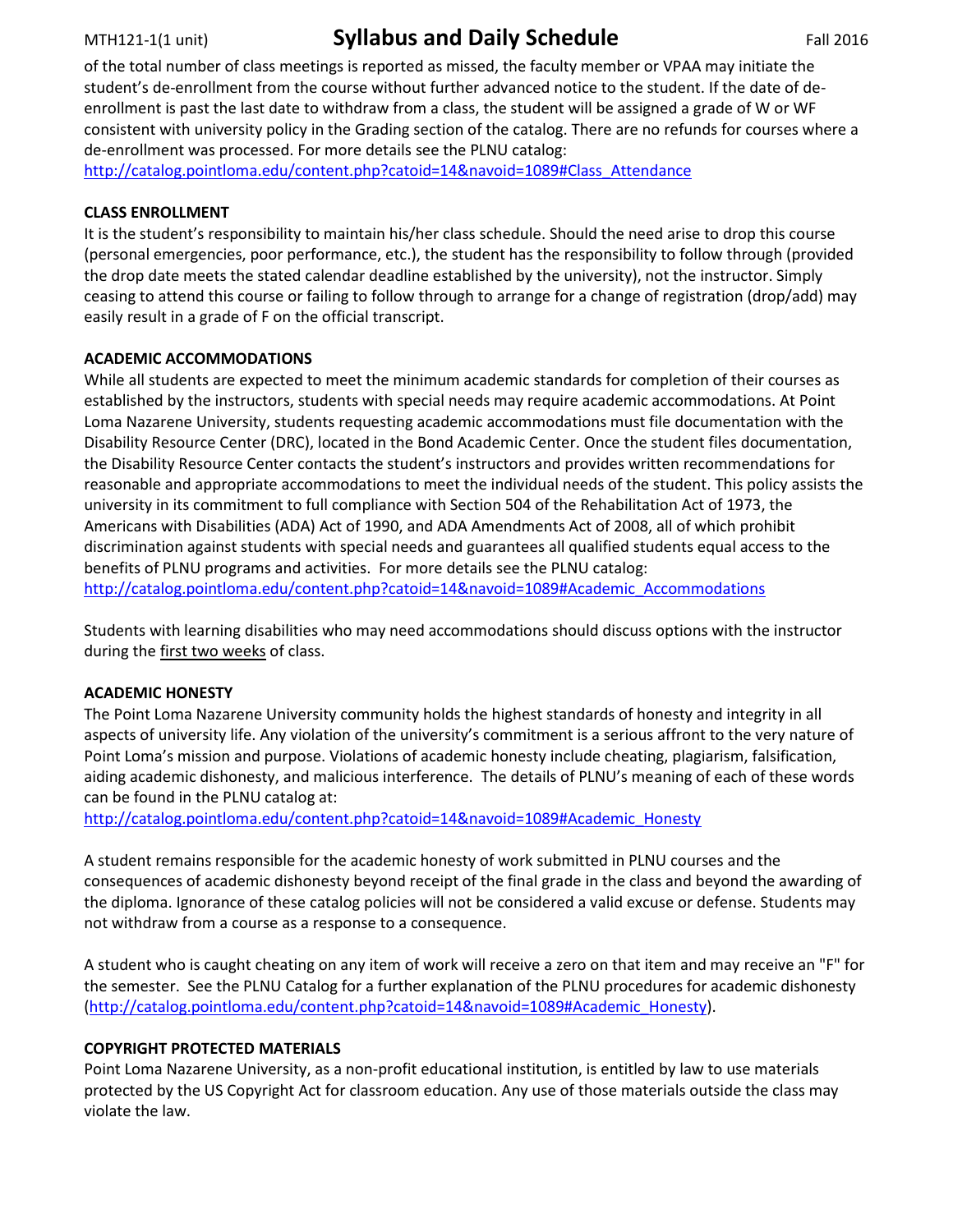# MTH121-1(1 unit) **Syllabus and Daily Schedule** Fall 2016

of the total number of class meetings is reported as missed, the faculty member or VPAA may initiate the student's de-enrollment from the course without further advanced notice to the student. If the date of deenrollment is past the last date to withdraw from a class, the student will be assigned a grade of W or WF consistent with university policy in the Grading section of the catalog. There are no refunds for courses where a de-enrollment was processed. For more details see the PLNU catalog:

[http://catalog.pointloma.edu/content.php?catoid=14&navoid=1089#Class\\_Attendance](http://catalog.pointloma.edu/content.php?catoid=14&navoid=1089#Class_Attendance)

## **CLASS ENROLLMENT**

It is the student's responsibility to maintain his/her class schedule. Should the need arise to drop this course (personal emergencies, poor performance, etc.), the student has the responsibility to follow through (provided the drop date meets the stated calendar deadline established by the university), not the instructor. Simply ceasing to attend this course or failing to follow through to arrange for a change of registration (drop/add) may easily result in a grade of F on the official transcript.

# **ACADEMIC ACCOMMODATIONS**

While all students are expected to meet the minimum academic standards for completion of their courses as established by the instructors, students with special needs may require academic accommodations. At Point Loma Nazarene University, students requesting academic accommodations must file documentation with the Disability Resource Center (DRC), located in the Bond Academic Center. Once the student files documentation, the Disability Resource Center contacts the student's instructors and provides written recommendations for reasonable and appropriate accommodations to meet the individual needs of the student. This policy assists the university in its commitment to full compliance with Section 504 of the Rehabilitation Act of 1973, the Americans with Disabilities (ADA) Act of 1990, and ADA Amendments Act of 2008, all of which prohibit discrimination against students with special needs and guarantees all qualified students equal access to the benefits of PLNU programs and activities. For more details see the PLNU catalog: [http://catalog.pointloma.edu/content.php?catoid=14&navoid=1089#Academic\\_Accommodations](http://catalog.pointloma.edu/content.php?catoid=14&navoid=1089#Academic_Accommodations)

Students with learning disabilities who may need accommodations should discuss options with the instructor during the first two weeks of class.

# **ACADEMIC HONESTY**

The Point Loma Nazarene University community holds the highest standards of honesty and integrity in all aspects of university life. Any violation of the university's commitment is a serious affront to the very nature of Point Loma's mission and purpose. Violations of academic honesty include cheating, plagiarism, falsification, aiding academic dishonesty, and malicious interference. The details of PLNU's meaning of each of these words can be found in the PLNU catalog at:

[http://catalog.pointloma.edu/content.php?catoid=14&navoid=1089#Academic\\_Honesty](http://catalog.pointloma.edu/content.php?catoid=14&navoid=1089#Academic_Honesty)

A student remains responsible for the academic honesty of work submitted in PLNU courses and the consequences of academic dishonesty beyond receipt of the final grade in the class and beyond the awarding of the diploma. Ignorance of these catalog policies will not be considered a valid excuse or defense. Students may not withdraw from a course as a response to a consequence.

A student who is caught cheating on any item of work will receive a zero on that item and may receive an "F" for the semester. See the PLNU Catalog for a further explanation of the PLNU procedures for academic dishonesty [\(http://catalog.pointloma.edu/content.php?catoid=14&navoid=1089#Academic\\_Honesty\)](http://catalog.pointloma.edu/content.php?catoid=14&navoid=1089#Academic_Honesty).

# **COPYRIGHT PROTECTED MATERIALS**

Point Loma Nazarene University, as a non-profit educational institution, is entitled by law to use materials protected by the US Copyright Act for classroom education. Any use of those materials outside the class may violate the law.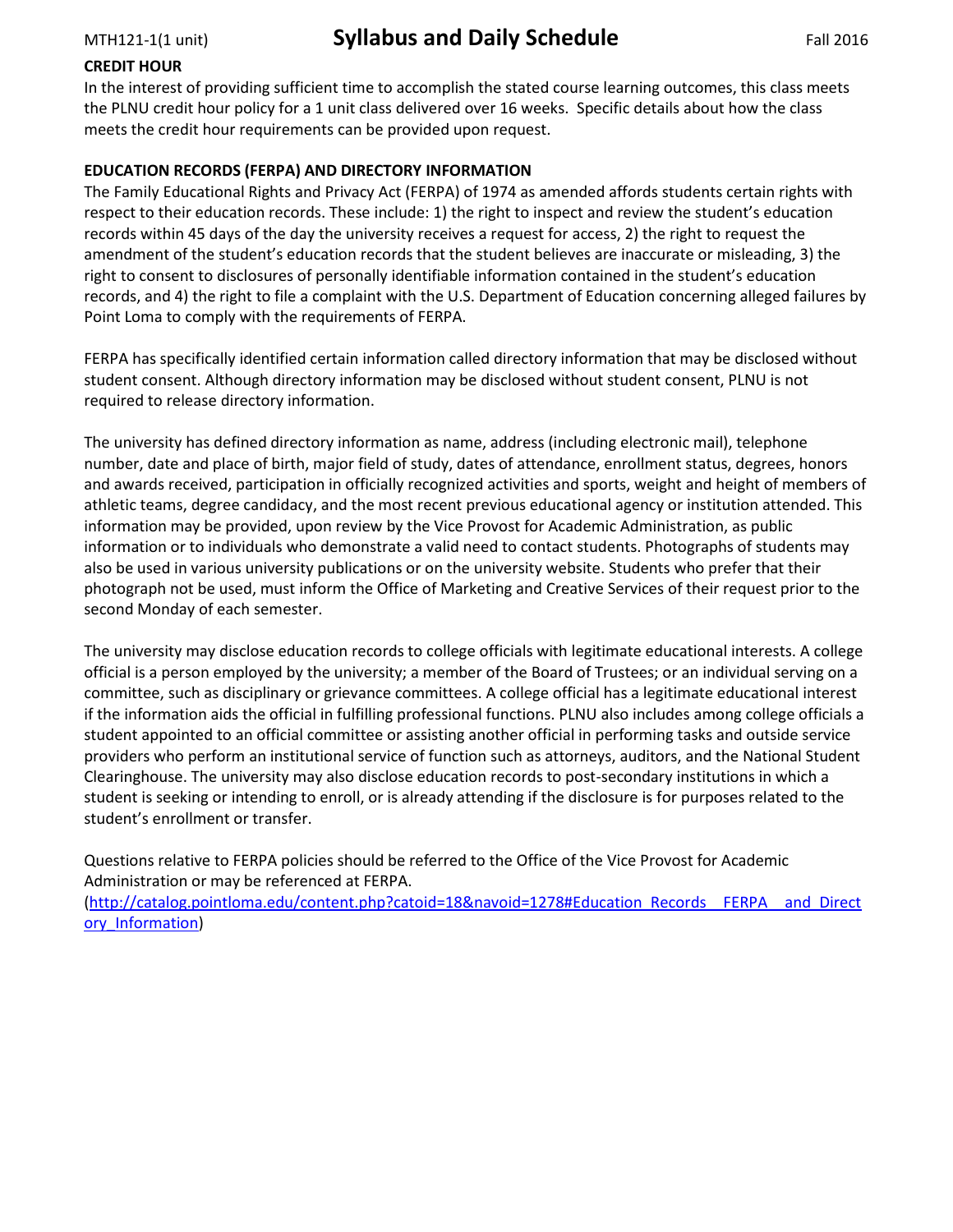# **CREDIT HOUR**

In the interest of providing sufficient time to accomplish the stated course learning outcomes, this class meets the PLNU credit hour policy for a 1 unit class delivered over 16 weeks. Specific details about how the class meets the credit hour requirements can be provided upon request.

# **EDUCATION RECORDS (FERPA) AND DIRECTORY INFORMATION**

The Family Educational Rights and Privacy Act (FERPA) of 1974 as amended affords students certain rights with respect to their education records. These include: 1) the right to inspect and review the student's education records within 45 days of the day the university receives a request for access, 2) the right to request the amendment of the student's education records that the student believes are inaccurate or misleading, 3) the right to consent to disclosures of personally identifiable information contained in the student's education records, and 4) the right to file a complaint with the U.S. Department of Education concerning alleged failures by Point Loma to comply with the requirements of FERPA.

FERPA has specifically identified certain information called directory information that may be disclosed without student consent. Although directory information may be disclosed without student consent, PLNU is not required to release directory information.

The university has defined directory information as name, address (including electronic mail), telephone number, date and place of birth, major field of study, dates of attendance, enrollment status, degrees, honors and awards received, participation in officially recognized activities and sports, weight and height of members of athletic teams, degree candidacy, and the most recent previous educational agency or institution attended. This information may be provided, upon review by the Vice Provost for Academic Administration, as public information or to individuals who demonstrate a valid need to contact students. Photographs of students may also be used in various university publications or on the university website. Students who prefer that their photograph not be used, must inform the Office of Marketing and Creative Services of their request prior to the second Monday of each semester.

The university may disclose education records to college officials with legitimate educational interests. A college official is a person employed by the university; a member of the Board of Trustees; or an individual serving on a committee, such as disciplinary or grievance committees. A college official has a legitimate educational interest if the information aids the official in fulfilling professional functions. PLNU also includes among college officials a student appointed to an official committee or assisting another official in performing tasks and outside service providers who perform an institutional service of function such as attorneys, auditors, and the National Student Clearinghouse. The university may also disclose education records to post-secondary institutions in which a student is seeking or intending to enroll, or is already attending if the disclosure is for purposes related to the student's enrollment or transfer.

Questions relative to FERPA policies should be referred to the Office of the Vice Provost for Academic Administration or may be referenced at FERPA.

[\(http://catalog.pointloma.edu/content.php?catoid=18&navoid=1278#Education\\_Records\\_\\_FERPA\\_\\_and\\_Direct](http://catalog.pointloma.edu/content.php?catoid=18&navoid=1278#Education_Records__FERPA__and_Directory_Information) [ory\\_Information\)](http://catalog.pointloma.edu/content.php?catoid=18&navoid=1278#Education_Records__FERPA__and_Directory_Information)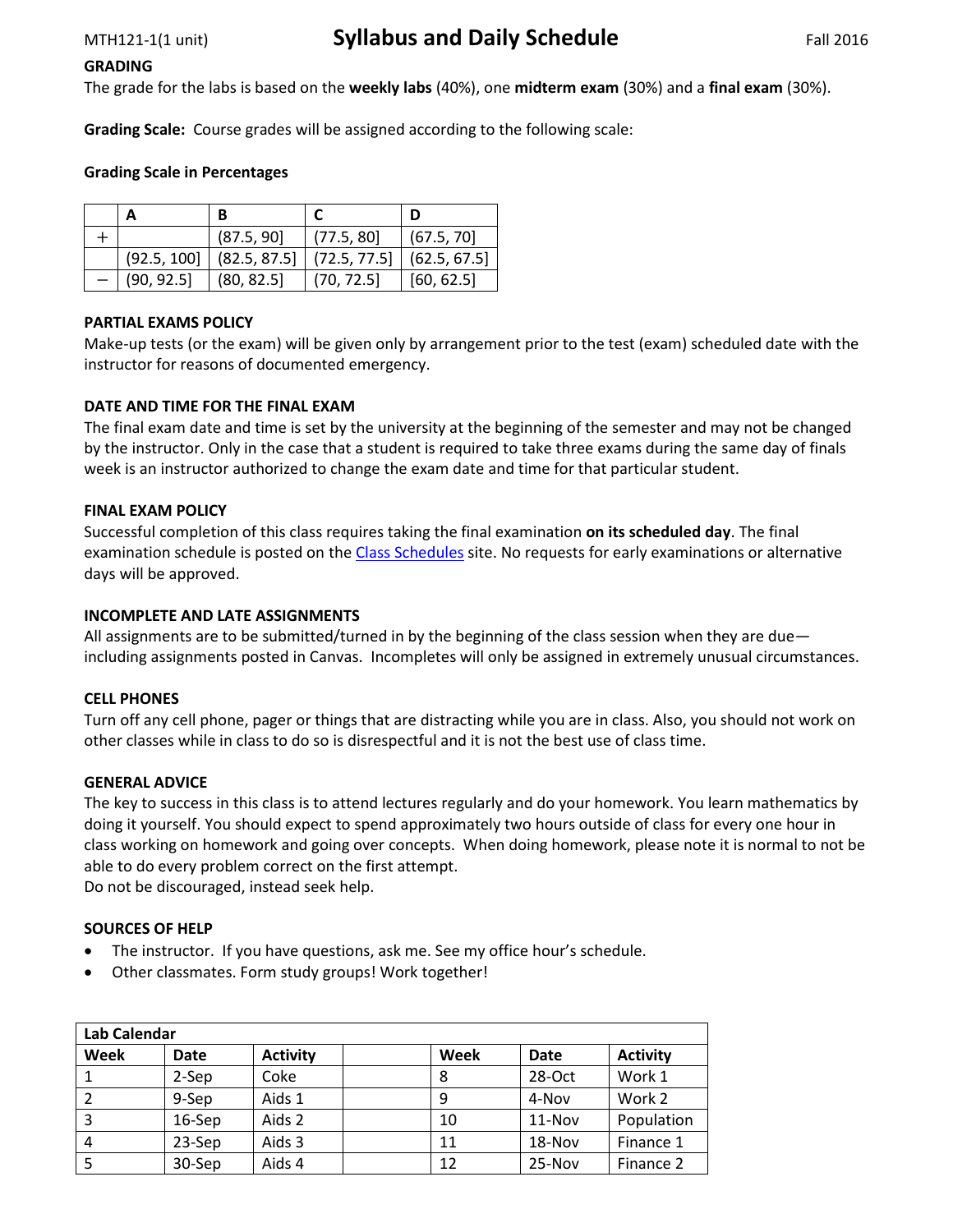#### **GRADING**

The grade for the labs is based on the **weekly labs** (40%), one **midterm exam** (30%) and a **final exam** (30%).

**Grading Scale:** Course grades will be assigned according to the following scale:

### **Grading Scale in Percentages**

|            | (87.5, 90]                                                 | (77.5, 80) | (67.5, 70) |
|------------|------------------------------------------------------------|------------|------------|
|            | $(92.5, 100]$ $(82.5, 87.5]$ $(72.5, 77.5)$ $(62.5, 67.5)$ |            |            |
| (90, 92.5] | (80, 82.5)                                                 | (70, 72.5) | [60, 62.5] |

### **PARTIAL EXAMS POLICY**

Make-up tests (or the exam) will be given only by arrangement prior to the test (exam) scheduled date with the instructor for reasons of documented emergency.

### **DATE AND TIME FOR THE FINAL EXAM**

The final exam date and time is set by the university at the beginning of the semester and may not be changed by the instructor. Only in the case that a student is required to take three exams during the same day of finals week is an instructor authorized to change the exam date and time for that particular student.

### **FINAL EXAM POLICY**

Successful completion of this class requires taking the final examination **on its scheduled day**. The final examination schedule is posted on th[e Class Schedules](http://www.pointloma.edu/experience/academics/class-schedules) site. No requests for early examinations or alternative days will be approved.

#### **INCOMPLETE AND LATE ASSIGNMENTS**

All assignments are to be submitted/turned in by the beginning of the class session when they are due including assignments posted in Canvas. Incompletes will only be assigned in extremely unusual circumstances.

#### **CELL PHONES**

Turn off any cell phone, pager or things that are distracting while you are in class. Also, you should not work on other classes while in class to do so is disrespectful and it is not the best use of class time.

#### **GENERAL ADVICE**

The key to success in this class is to attend lectures regularly and do your homework. You learn mathematics by doing it yourself. You should expect to spend approximately two hours outside of class for every one hour in class working on homework and going over concepts. When doing homework, please note it is normal to not be able to do every problem correct on the first attempt.

Do not be discouraged, instead seek help.

#### **SOURCES OF HELP**

- The instructor. If you have questions, ask me. See my office hour's schedule.
- Other classmates. Form study groups! Work together!

| <b>Lab Calendar</b> |             |                 |  |      |             |                 |  |
|---------------------|-------------|-----------------|--|------|-------------|-----------------|--|
| Week                | <b>Date</b> | <b>Activity</b> |  | Week | <b>Date</b> | <b>Activity</b> |  |
|                     | 2-Sep       | Coke            |  | 8    | 28-Oct      | Work 1          |  |
|                     | 9-Sep       | Aids 1          |  |      | 4-Nov       | Work 2          |  |
|                     | 16-Sep      | Aids 2          |  | 10   | 11-Nov      | Population      |  |
| 4                   | 23-Sep      | Aids 3          |  | 11   | 18-Nov      | Finance 1       |  |
|                     | 30-Sep      | Aids 4          |  | 12   | 25-Nov      | Finance 2       |  |